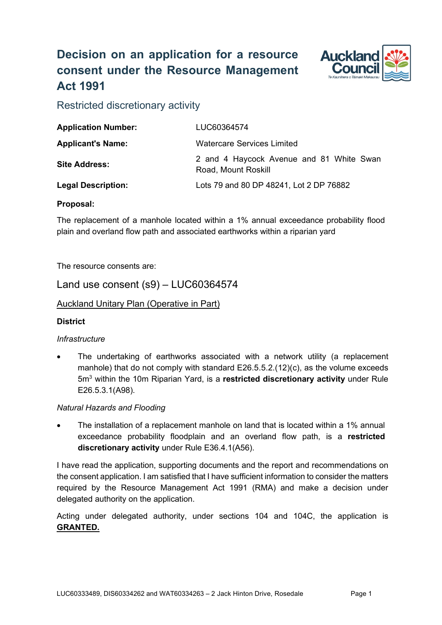# **Decision on an application for a resource consent under the Resource Management Act 1991**



Restricted discretionary activity

| <b>Application Number:</b> | LUC60364574                                                     |
|----------------------------|-----------------------------------------------------------------|
| <b>Applicant's Name:</b>   | <b>Watercare Services Limited</b>                               |
| <b>Site Address:</b>       | 2 and 4 Haycock Avenue and 81 White Swan<br>Road, Mount Roskill |
| <b>Legal Description:</b>  | Lots 79 and 80 DP 48241, Lot 2 DP 76882                         |

# **Proposal:**

The replacement of a manhole located within a 1% annual exceedance probability flood plain and overland flow path and associated earthworks within a riparian yard

The resource consents are:

Land use consent (s9) – LUC60364574

Auckland Unitary Plan (Operative in Part)

# **District**

# *Infrastructure*

The undertaking of earthworks associated with a network utility (a replacement manhole) that do not comply with standard E26.5.5.2.(12)(c), as the volume exceeds 5m3 within the 10m Riparian Yard, is a **restricted discretionary activity** under Rule E26.5.3.1(A98).

# *Natural Hazards and Flooding*

The installation of a replacement manhole on land that is located within a 1% annual exceedance probability floodplain and an overland flow path, is a **restricted discretionary activity** under Rule E36.4.1(A56).

I have read the application, supporting documents and the report and recommendations on the consent application. I am satisfied that I have sufficient information to consider the matters required by the Resource Management Act 1991 (RMA) and make a decision under delegated authority on the application.

Acting under delegated authority, under sections 104 and 104C, the application is **GRANTED.**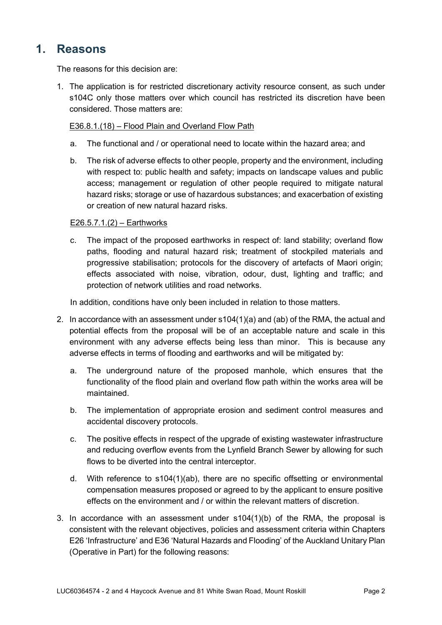# **1. Reasons**

The reasons for this decision are:

1. The application is for restricted discretionary activity resource consent, as such under s104C only those matters over which council has restricted its discretion have been considered. Those matters are:

### E36.8.1.(18) – Flood Plain and Overland Flow Path

- a. The functional and / or operational need to locate within the hazard area; and
- b. The risk of adverse effects to other people, property and the environment, including with respect to: public health and safety; impacts on landscape values and public access; management or regulation of other people required to mitigate natural hazard risks; storage or use of hazardous substances; and exacerbation of existing or creation of new natural hazard risks.

### E26.5.7.1.(2) – Earthworks

c. The impact of the proposed earthworks in respect of: land stability; overland flow paths, flooding and natural hazard risk; treatment of stockpiled materials and progressive stabilisation; protocols for the discovery of artefacts of Maori origin; effects associated with noise, vibration, odour, dust, lighting and traffic; and protection of network utilities and road networks.

In addition, conditions have only been included in relation to those matters.

- 2. In accordance with an assessment under s104(1)(a) and (ab) of the RMA, the actual and potential effects from the proposal will be of an acceptable nature and scale in this environment with any adverse effects being less than minor. This is because any adverse effects in terms of flooding and earthworks and will be mitigated by:
	- a. The underground nature of the proposed manhole, which ensures that the functionality of the flood plain and overland flow path within the works area will be maintained.
	- b. The implementation of appropriate erosion and sediment control measures and accidental discovery protocols.
	- c. The positive effects in respect of the upgrade of existing wastewater infrastructure and reducing overflow events from the Lynfield Branch Sewer by allowing for such flows to be diverted into the central interceptor.
	- d. With reference to s104(1)(ab), there are no specific offsetting or environmental compensation measures proposed or agreed to by the applicant to ensure positive effects on the environment and / or within the relevant matters of discretion.
- 3. In accordance with an assessment under s104(1)(b) of the RMA, the proposal is consistent with the relevant objectives, policies and assessment criteria within Chapters E26 'Infrastructure' and E36 'Natural Hazards and Flooding' of the Auckland Unitary Plan (Operative in Part) for the following reasons: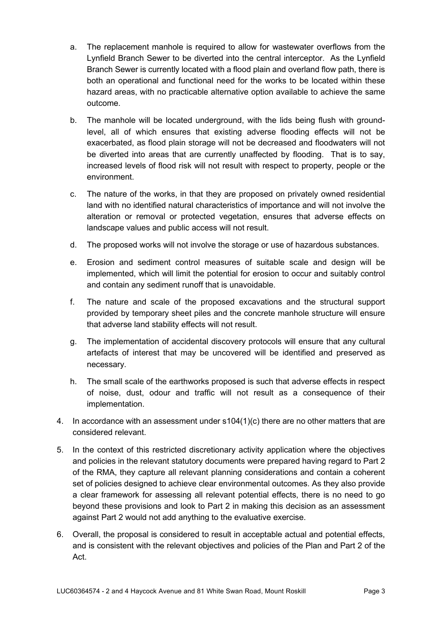- a. The replacement manhole is required to allow for wastewater overflows from the Lynfield Branch Sewer to be diverted into the central interceptor. As the Lynfield Branch Sewer is currently located with a flood plain and overland flow path, there is both an operational and functional need for the works to be located within these hazard areas, with no practicable alternative option available to achieve the same outcome.
- b. The manhole will be located underground, with the lids being flush with groundlevel, all of which ensures that existing adverse flooding effects will not be exacerbated, as flood plain storage will not be decreased and floodwaters will not be diverted into areas that are currently unaffected by flooding. That is to say, increased levels of flood risk will not result with respect to property, people or the environment.
- c. The nature of the works, in that they are proposed on privately owned residential land with no identified natural characteristics of importance and will not involve the alteration or removal or protected vegetation, ensures that adverse effects on landscape values and public access will not result.
- d. The proposed works will not involve the storage or use of hazardous substances.
- e. Erosion and sediment control measures of suitable scale and design will be implemented, which will limit the potential for erosion to occur and suitably control and contain any sediment runoff that is unavoidable.
- f. The nature and scale of the proposed excavations and the structural support provided by temporary sheet piles and the concrete manhole structure will ensure that adverse land stability effects will not result.
- g. The implementation of accidental discovery protocols will ensure that any cultural artefacts of interest that may be uncovered will be identified and preserved as necessary.
- h. The small scale of the earthworks proposed is such that adverse effects in respect of noise, dust, odour and traffic will not result as a consequence of their implementation.
- 4. In accordance with an assessment under s104(1)(c) there are no other matters that are considered relevant.
- 5. In the context of this restricted discretionary activity application where the objectives and policies in the relevant statutory documents were prepared having regard to Part 2 of the RMA, they capture all relevant planning considerations and contain a coherent set of policies designed to achieve clear environmental outcomes. As they also provide a clear framework for assessing all relevant potential effects, there is no need to go beyond these provisions and look to Part 2 in making this decision as an assessment against Part 2 would not add anything to the evaluative exercise.
- 6. Overall, the proposal is considered to result in acceptable actual and potential effects, and is consistent with the relevant objectives and policies of the Plan and Part 2 of the Act.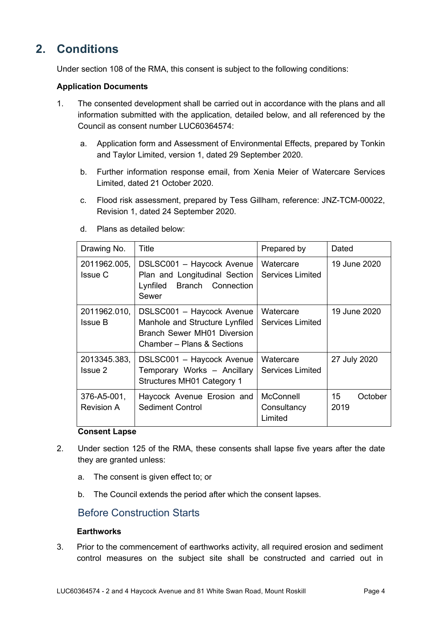# **2. Conditions**

Under section 108 of the RMA, this consent is subject to the following conditions:

#### **Application Documents**

- 1. The consented development shall be carried out in accordance with the plans and all information submitted with the application, detailed below, and all referenced by the Council as consent number LUC60364574:
	- a. Application form and Assessment of Environmental Effects, prepared by Tonkin and Taylor Limited, version 1, dated 29 September 2020.
	- b. Further information response email, from Xenia Meier of Watercare Services Limited, dated 21 October 2020.
	- c. Flood risk assessment, prepared by Tess Gillham, reference: JNZ-TCM-00022, Revision 1, dated 24 September 2020.

| Drawing No.                      | Title                                                                                                                           | Prepared by                                | Dated                 |
|----------------------------------|---------------------------------------------------------------------------------------------------------------------------------|--------------------------------------------|-----------------------|
| 2011962.005,<br><b>Issue C</b>   | DSLSC001 - Haycock Avenue<br>Plan and Longitudinal Section<br>Lynfiled Branch Connection<br>Sewer                               | Watercare<br><b>Services Limited</b>       | 19 June 2020          |
| 2011962.010,<br><b>Issue B</b>   | DSLSC001 - Haycock Avenue<br>Manhole and Structure Lynfiled<br><b>Branch Sewer MH01 Diversion</b><br>Chamber – Plans & Sections | Watercare<br><b>Services Limited</b>       | 19 June 2020          |
| 2013345.383,<br><b>Issue 2</b>   | DSLSC001 - Haycock Avenue<br>Temporary Works - Ancillary<br><b>Structures MH01 Category 1</b>                                   | Watercare<br><b>Services Limited</b>       | 27 July 2020          |
| 376-A5-001,<br><b>Revision A</b> | Haycock Avenue Erosion and<br><b>Sediment Control</b>                                                                           | <b>McConnell</b><br>Consultancy<br>Limited | 15<br>October<br>2019 |

d. Plans as detailed below:

#### **Consent Lapse**

- 2. Under section 125 of the RMA, these consents shall lapse five years after the date they are granted unless:
	- a. The consent is given effect to; or
	- b. The Council extends the period after which the consent lapses.

# Before Construction Starts

#### **Earthworks**

3. Prior to the commencement of earthworks activity, all required erosion and sediment control measures on the subject site shall be constructed and carried out in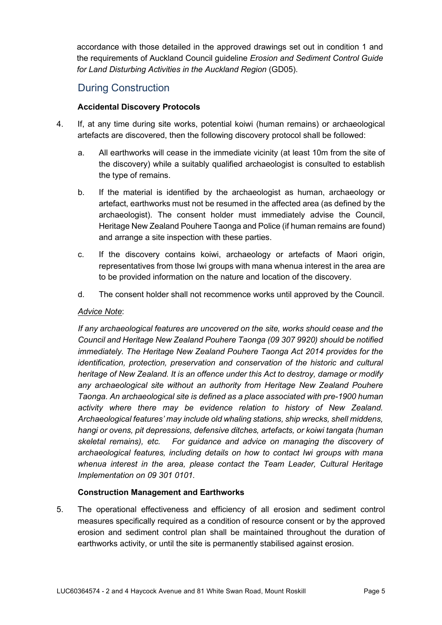accordance with those detailed in the approved drawings set out in condition 1 and the requirements of Auckland Council guideline *Erosion and Sediment Control Guide for Land Disturbing Activities in the Auckland Region* (GD05).

# During Construction

# **Accidental Discovery Protocols**

- 4. If, at any time during [site](http://unitaryplan.aucklandcouncil.govt.nz/pages/plan/Book.aspx) works, potential koiwi (human remains) or archaeological artefacts are discovered, then the following discovery protocol shall be followed:
	- a. All earthworks will cease in the immediate vicinity (at least 10m from the site of the discovery) while a suitably qualified archaeologist is consulted to establish the type of remains.
	- b. If the material is identified by the archaeologist as human, archaeology or artefact, earthworks must not be resumed in the affected area (as defined by the archaeologist). The consent holder must immediately advise the Council, Heritage New Zealand Pouhere Taonga and Police (if human remains are found) and arrange a site inspection with these parties.
	- c. If the discovery contains koiwi, archaeology or artefacts of Maori origin, representatives from those Iwi groups with mana whenua interest in the area are to be provided information on the nature and location of the discovery.
	- d. The consent holder shall not recommence works until approved by the Council.

### *Advice Note*:

*If any archaeological features are uncovered on the site, works should cease and the Council and Heritage New Zealand Pouhere Taonga (09 307 9920) should be notified immediately. The Heritage New Zealand Pouhere Taonga Act 2014 provides for the identification, protection, preservation and conservation of the historic and cultural heritage of New Zealand. It is an offence under this Act to destroy, damage or modify any archaeological site without an authority from Heritage New Zealand Pouhere Taonga. An archaeological site is defined as a place associated with pre-1900 human activity where there may be evidence relation to history of New Zealand. Archaeological features' may include old whaling stations, ship wrecks, shell middens, hangi or ovens, pit depressions, defensive ditches, artefacts, or koiwi tangata (human skeletal remains), etc. For guidance and advice on managing the discovery of archaeological features, including details on how to contact Iwi groups with mana whenua interest in the area, please contact the Team Leader, Cultural Heritage Implementation on 09 301 0101.* 

# **Construction Management and Earthworks**

5. The operational effectiveness and efficiency of all erosion and sediment control measures specifically required as a condition of resource consent or by the approved erosion and sediment control plan shall be maintained throughout the duration of earthworks activity, or until the site is permanently stabilised against erosion.